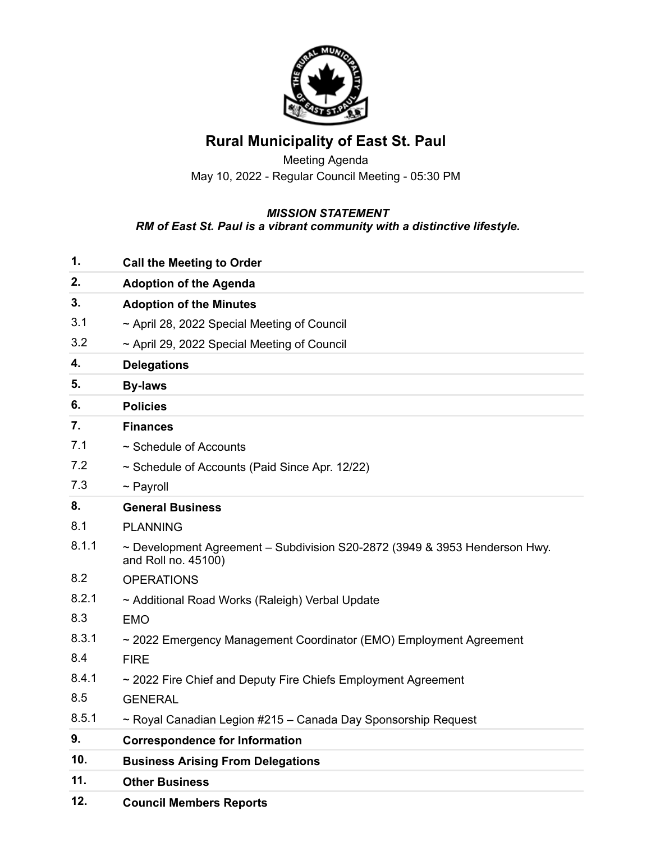

## **Rural Municipality of East St. Paul**

Meeting Agenda May 10, 2022 - Regular Council Meeting - 05:30 PM

## *MISSION STATEMENT RM of East St. Paul is a vibrant community with a distinctive lifestyle.*

| 12.   | <b>Council Members Reports</b>                                                                         |
|-------|--------------------------------------------------------------------------------------------------------|
| 11.   | <b>Other Business</b>                                                                                  |
| 10.   | <b>Business Arising From Delegations</b>                                                               |
| 9.    | <b>Correspondence for Information</b>                                                                  |
| 8.5.1 | ~ Royal Canadian Legion #215 - Canada Day Sponsorship Request                                          |
| 8.5   | <b>GENERAL</b>                                                                                         |
| 8.4.1 | ~ 2022 Fire Chief and Deputy Fire Chiefs Employment Agreement                                          |
| 8.4   | <b>FIRE</b>                                                                                            |
| 8.3.1 | ~ 2022 Emergency Management Coordinator (EMO) Employment Agreement                                     |
| 8.3   | <b>EMO</b>                                                                                             |
| 8.2.1 | ~ Additional Road Works (Raleigh) Verbal Update                                                        |
| 8.2   | <b>OPERATIONS</b>                                                                                      |
| 8.1.1 | $\sim$ Development Agreement - Subdivision S20-2872 (3949 & 3953 Henderson Hwy.<br>and Roll no. 45100) |
| 8.1   | <b>PLANNING</b>                                                                                        |
| 8.    | <b>General Business</b>                                                                                |
| 7.3   | $\sim$ Payroll                                                                                         |
| 7.2   | ~ Schedule of Accounts (Paid Since Apr. 12/22)                                                         |
| 7.1   | ~ Schedule of Accounts                                                                                 |
| 7.    | <b>Finances</b>                                                                                        |
| 6.    | <b>Policies</b>                                                                                        |
| 5.    | <b>By-laws</b>                                                                                         |
| 4.    | <b>Delegations</b>                                                                                     |
| 3.2   | ~ April 29, 2022 Special Meeting of Council                                                            |
| 3.1   | ~ April 28, 2022 Special Meeting of Council                                                            |
| 3.    | <b>Adoption of the Minutes</b>                                                                         |
| 2.    | <b>Adoption of the Agenda</b>                                                                          |
| 1.    | <b>Call the Meeting to Order</b>                                                                       |